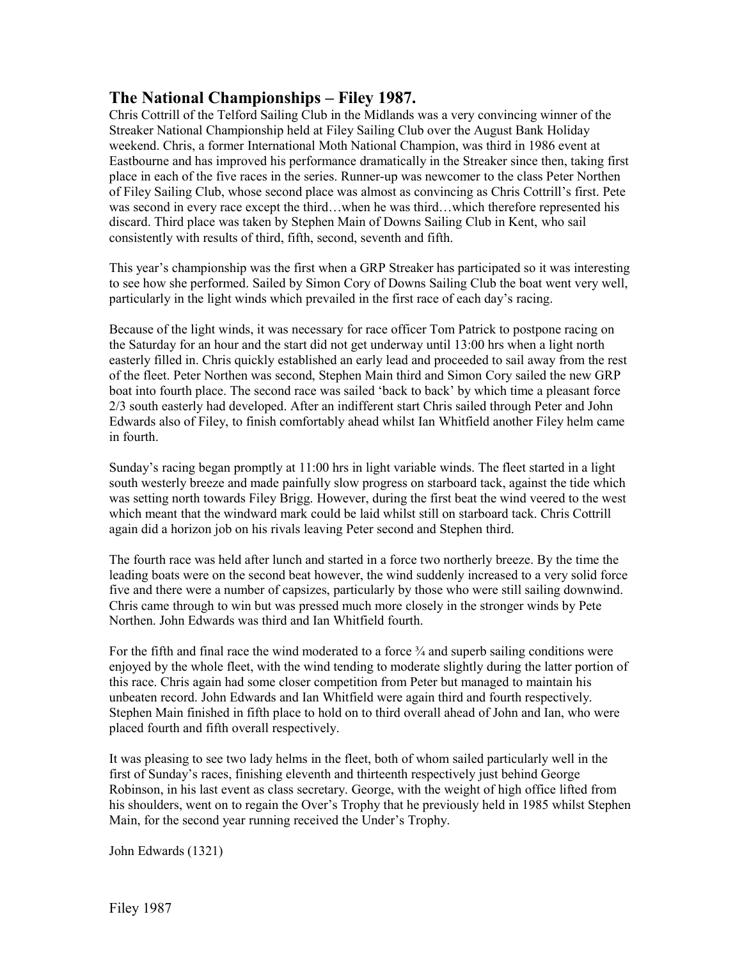## **The National Championships – Filey 1987.**

Chris Cottrill of the Telford Sailing Club in the Midlands was a very convincing winner of the Streaker National Championship held at Filey Sailing Club over the August Bank Holiday weekend. Chris, a former International Moth National Champion, was third in 1986 event at Eastbourne and has improved his performance dramatically in the Streaker since then, taking first place in each of the five races in the series. Runner-up was newcomer to the class Peter Northen of Filey Sailing Club, whose second place was almost as convincing as Chris Cottrill's first. Pete was second in every race except the third…when he was third…which therefore represented his discard. Third place was taken by Stephen Main of Downs Sailing Club in Kent, who sail consistently with results of third, fifth, second, seventh and fifth.

This year's championship was the first when a GRP Streaker has participated so it was interesting to see how she performed. Sailed by Simon Cory of Downs Sailing Club the boat went very well, particularly in the light winds which prevailed in the first race of each day's racing.

Because of the light winds, it was necessary for race officer Tom Patrick to postpone racing on the Saturday for an hour and the start did not get underway until 13:00 hrs when a light north easterly filled in. Chris quickly established an early lead and proceeded to sail away from the rest of the fleet. Peter Northen was second, Stephen Main third and Simon Cory sailed the new GRP boat into fourth place. The second race was sailed 'back to back' by which time a pleasant force 2/3 south easterly had developed. After an indifferent start Chris sailed through Peter and John Edwards also of Filey, to finish comfortably ahead whilst Ian Whitfield another Filey helm came in fourth.

Sunday's racing began promptly at 11:00 hrs in light variable winds. The fleet started in a light south westerly breeze and made painfully slow progress on starboard tack, against the tide which was setting north towards Filey Brigg. However, during the first beat the wind veered to the west which meant that the windward mark could be laid whilst still on starboard tack. Chris Cottrill again did a horizon job on his rivals leaving Peter second and Stephen third.

The fourth race was held after lunch and started in a force two northerly breeze. By the time the leading boats were on the second beat however, the wind suddenly increased to a very solid force five and there were a number of capsizes, particularly by those who were still sailing downwind. Chris came through to win but was pressed much more closely in the stronger winds by Pete Northen. John Edwards was third and Ian Whitfield fourth.

For the fifth and final race the wind moderated to a force  $\frac{3}{4}$  and superb sailing conditions were enjoyed by the whole fleet, with the wind tending to moderate slightly during the latter portion of this race. Chris again had some closer competition from Peter but managed to maintain his unbeaten record. John Edwards and Ian Whitfield were again third and fourth respectively. Stephen Main finished in fifth place to hold on to third overall ahead of John and Ian, who were placed fourth and fifth overall respectively.

It was pleasing to see two lady helms in the fleet, both of whom sailed particularly well in the first of Sunday's races, finishing eleventh and thirteenth respectively just behind George Robinson, in his last event as class secretary. George, with the weight of high office lifted from his shoulders, went on to regain the Over's Trophy that he previously held in 1985 whilst Stephen Main, for the second year running received the Under's Trophy.

John Edwards (1321)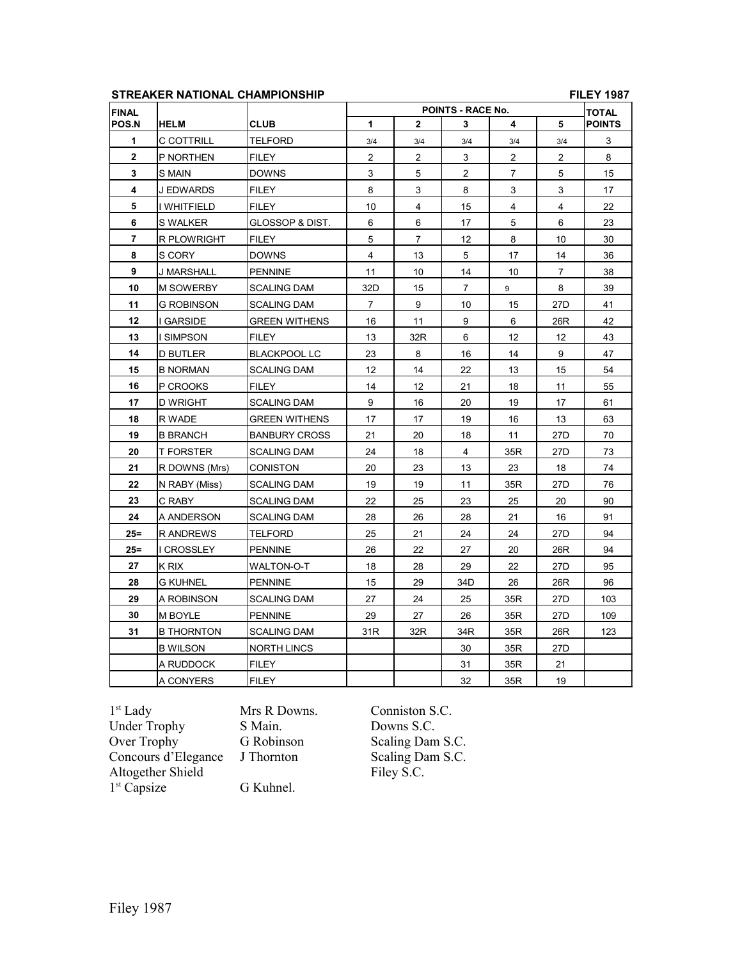## **STREAKER NATIONAL CHAMPIONSHIP FILEY 1987**

| <b>FINAL</b> |                   |                            | POINTS - RACE No. |                         |                |                |                 | <b>TOTAL</b>  |
|--------------|-------------------|----------------------------|-------------------|-------------------------|----------------|----------------|-----------------|---------------|
| POS.N        | <b>HELM</b>       | <b>CLUB</b>                | 1                 | $\mathbf{2}$            | 3              | 4              | 5               | <b>POINTS</b> |
| 1            | C COTTRILL        | TELFORD                    | 3/4               | 3/4                     | 3/4            | 3/4            | 3/4             | 3             |
| $\mathbf{2}$ | P NORTHEN         | FILEY                      | $\overline{c}$    | $\overline{\mathbf{c}}$ | 3              | $\overline{2}$ | 2               | 8             |
| 3            | S MAIN            | <b>DOWNS</b>               | 3                 | 5                       | $\overline{a}$ | $\overline{7}$ | 5               | 15            |
| 4            | <b>J EDWARDS</b>  | <b>FILEY</b>               | 8                 | 3                       | 8              | 3              | 3               | 17            |
| 5            | I WHITFIELD       | <b>FILEY</b>               | 10                | 4                       | 15             | $\overline{4}$ | 4               | 22            |
| 6            | S WALKER          | <b>GLOSSOP &amp; DIST.</b> | 6                 | 6                       | 17             | 5              | 6               | 23            |
| 7            | R PLOWRIGHT       | FILEY                      | 5                 | $\overline{7}$          | 12             | 8              | 10              | 30            |
| 8            | S CORY            | <b>DOWNS</b>               | 4                 | 13                      | 5              | 17             | 14              | 36            |
| 9            | J MARSHALL        | <b>PENNINE</b>             | 11                | 10                      | 14             | 10             | $\overline{7}$  | 38            |
| 10           | <b>M SOWERBY</b>  | <b>SCALING DAM</b>         | 32D               | 15                      | 7              | 9              | 8               | 39            |
| 11           | G ROBINSON        | <b>SCALING DAM</b>         | $\overline{7}$    | 9                       | 10             | 15             | 27 <sub>D</sub> | 41            |
| 12           | <b>GARSIDE</b>    | <b>GREEN WITHENS</b>       | 16                | 11                      | 9              | 6              | 26R             | 42            |
| 13           | <b>SIMPSON</b>    | <b>FILEY</b>               | 13                | 32R                     | 6              | 12             | 12              | 43            |
| 14           | D BUTLER          | <b>BLACKPOOL LC</b>        | 23                | 8                       | 16             | 14             | 9               | 47            |
| 15           | <b>B NORMAN</b>   | <b>SCALING DAM</b>         | 12                | 14                      | 22             | 13             | 15              | 54            |
| 16           | P CROOKS          | FILEY                      | 14                | 12                      | 21             | 18             | 11              | 55            |
| 17           | D WRIGHT          | <b>SCALING DAM</b>         | 9                 | 16                      | 20             | 19             | 17              | 61            |
| 18           | R WADE            | <b>GREEN WITHENS</b>       | 17                | 17                      | 19             | 16             | 13              | 63            |
| 19           | <b>B BRANCH</b>   | <b>BANBURY CROSS</b>       | 21                | 20                      | 18             | 11             | 27D             | 70            |
| 20           | <b>T FORSTER</b>  | <b>SCALING DAM</b>         | 24                | 18                      | $\overline{4}$ | 35R            | 27D             | 73            |
| 21           | R DOWNS (Mrs)     | CONISTON                   | 20                | 23                      | 13             | 23             | 18              | 74            |
| 22           | N RABY (Miss)     | <b>SCALING DAM</b>         | 19                | 19                      | 11             | 35R            | 27 <sub>D</sub> | 76            |
| 23           | C RABY            | SCALING DAM                | 22                | 25                      | 23             | 25             | 20              | 90            |
| 24           | A ANDERSON        | <b>SCALING DAM</b>         | 28                | 26                      | 28             | 21             | 16              | 91            |
| $25 =$       | R ANDREWS         | TELFORD                    | 25                | 21                      | 24             | 24             | 27D             | 94            |
| $25 =$       | <b>CROSSLEY</b>   | <b>PENNINE</b>             | 26                | 22                      | 27             | 20             | 26R             | 94            |
| 27           | K RIX             | WALTON-O-T                 | 18                | 28                      | 29             | 22             | 27D             | 95            |
| 28           | <b>G KUHNEL</b>   | <b>PENNINE</b>             | 15                | 29                      | 34D            | 26             | 26R             | 96            |
| 29           | A ROBINSON        | <b>SCALING DAM</b>         | 27                | 24                      | 25             | 35R            | 27 <sub>D</sub> | 103           |
| 30           | M BOYLE           | <b>PENNINE</b>             | 29                | 27                      | 26             | 35R            | 27D             | 109           |
| 31           | <b>B THORNTON</b> | <b>SCALING DAM</b>         | 31R               | 32R                     | 34R            | 35R            | 26R             | 123           |
|              | <b>B WILSON</b>   | NORTH LINCS                |                   |                         | 30             | 35R            | 27D             |               |
|              | A RUDDOCK         | <b>FILEY</b>               |                   |                         | 31             | 35R            | 21              |               |
|              | A CONYERS         | <b>FILEY</b>               |                   |                         | 32             | 35R            | 19              |               |

 $1^{\rm st}$  Lady Under Trophy S. Main.<br>
Over Trophy G. Robinson Concours d'Elegance J Thornton Altogether Shield Filey S.C. 1<sup>st</sup> Capsize G Kuhnel.

Mrs R Downs. Conniston S.C.<br>S Main. Downs S.C. Scaling Dam S.C.<br>Scaling Dam S.C.